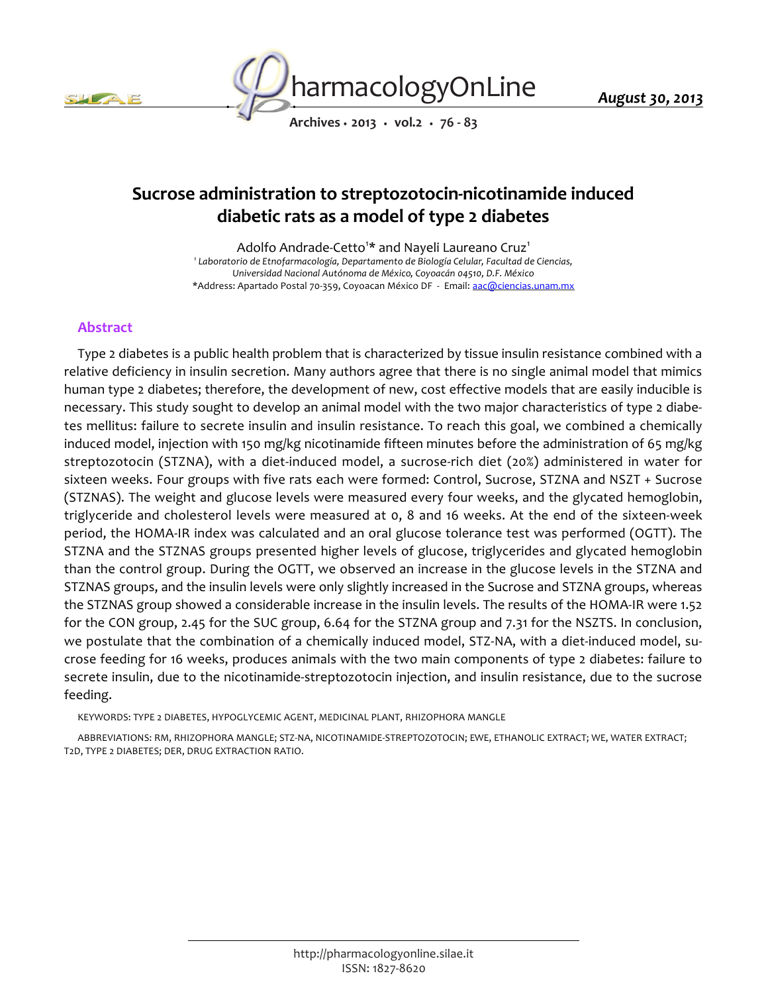



*Archives • 2013 • vol.2 • 76 - 83*

# *Sucrose administration to streptozotocin-nicotinamide induced diabetic rats as a model of type 2 diabetes*

*Adolfo Andrade-Cetto<sup>1</sup> \* and Nayeli Laureano Cruz<sup>1</sup> 1 Laboratorio de Etnofarmacología, Departamento de Biología Celular, Facultad de Ciencias, Universidad Nacional Autónoma de México, Coyoacán 04510, D.F. México \*Address: Apartado Postal 70-359, Coyoacan México DF - Email: aac@ciencias.unam.mx*

# *Abstract*

*Type 2 diabetes is a public health problem that is characterized by tissue insulin resistance combined with a relative deficiency in insulin secretion. Many authors agree that there is no single animal model that mimics human type 2 diabetes; therefore, the development of new, cost effective models that are easily inducible is necessary. This study sought to develop an animal model with the two major characteristics of type 2 diabe*tes mellitus: failure to secrete insulin and insulin resistance. To reach this goal, we combined a chemically *induced model, injection with 150 mg/kg nicotinamide fifteen minutes before the administration of 65 mg/kg streptozotocin (STZNA), with a diet-induced model, a sucrose-rich diet (20%) administered in water for sixteen weeks. Four groups with five rats each were formed: Control, Sucrose, STZNA and NSZT + Sucrose (STZNAS). The weight and glucose levels were measured every four weeks, and the glycated hemoglobin, triglyceride and cholesterol levels were measured at 0, 8 and 16 weeks. At the end of the sixteen-week period, the HOMA-IR index was calculated and an oral glucose tolerance test was performed (OGTT). The STZNA and the STZNAS groups presented higher levels of glucose, triglycerides and glycated hemoglobin than the control group. During the OGTT, we observed an increase in the glucose levels in the STZNA and STZNAS groups, and the insulin levels were only slightly increased in the Sucrose and STZNA groups, whereas the STZNAS group showed a considerable increase in the insulin levels. The results of the HOMA-IR were 1.52 for the CON group, 2.45 for the SUC group, 6.64 for the STZNA group and 7.31 for the NSZTS. In conclusion, we postulate that the combination of a chemically induced model, STZ-NA, with a diet-induced model, sucrose feeding for 16 weeks, produces animals with the two main components of type 2 diabetes: failure to secrete insulin, due to the nicotinamide-streptozotocin injection, and insulin resistance, due to the sucrose feeding.*

*KEYWORDS: TYPE 2 DIABETES, HYPOGLYCEMIC AGENT, MEDICINAL PLANT, RHIZOPHORA MANGLE*

*ABBREVIATIONS: RM, RHIZOPHORA MANGLE; STZ-NA, NICOTINAMIDE-STREPTOZOTOCIN; EWE, ETHANOLIC EXTRACT; WE, WATER EXTRACT; T2D, TYPE 2 DIABETES; DER, DRUG EXTRACTION RATIO.*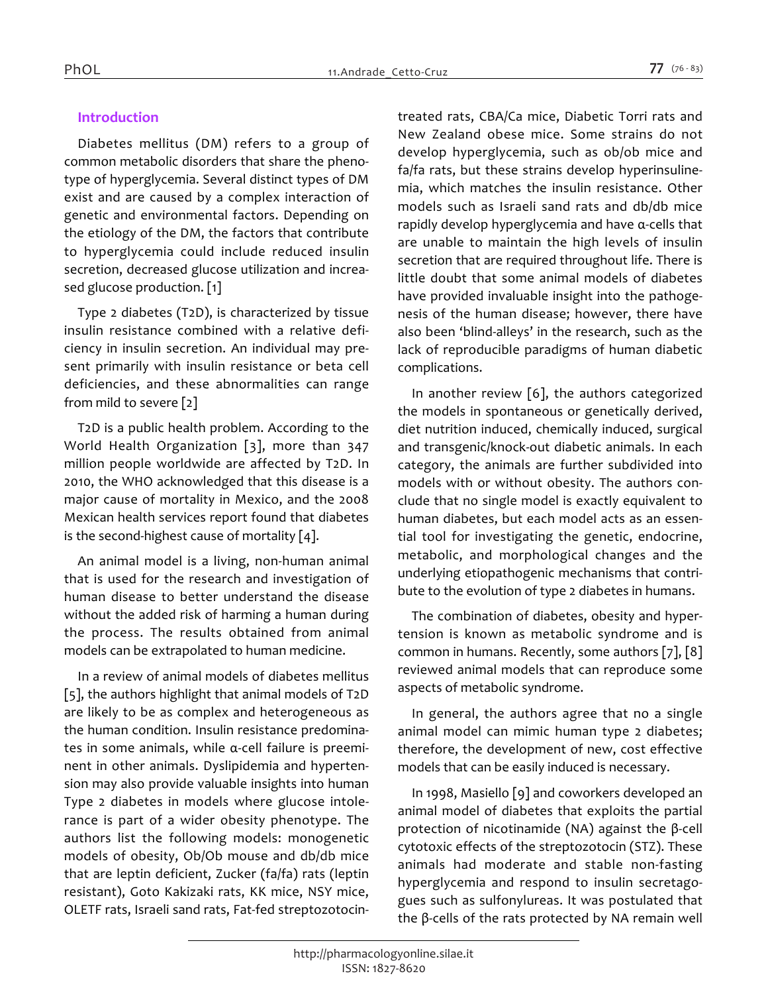# *Introduction*

*Diabetes mellitus (DM) refers to a group of common metabolic disorders that share the phenotype of hyperglycemia. Several distinct types of DM exist and are caused by a complex interaction of genetic and environmental factors. Depending on the etiology of the DM, the factors that contribute to hyperglycemia could include reduced insulin secretion, decreased glucose utilization and increased glucose production. [1]*

*Type 2 diabetes (T2D), is characterized by tissue insulin resistance combined with a relative deficiency in insulin secretion. An individual may present primarily with insulin resistance or beta cell deficiencies, and these abnormalities can range from mild to severe [2]*

*T2D is a public health problem. According to the World Health Organization [3], more than 347 million people worldwide are affected by T2D. In 2010, the WHO acknowledged that this disease is a major cause of mortality in Mexico, and the 2008 Mexican health services report found that diabetes is the second-highest cause of mortality [4].*

*An animal model is a living, non-human animal that is used for the research and investigation of human disease to better understand the disease without the added risk of harming a human during the process. The results obtained from animal models can be extrapolated to human medicine.*

*In a review of animal models of diabetes mellitus [5], the authors highlight that animal models of T2D are likely to be as complex and heterogeneous as the human condition. Insulin resistance predominates in some animals, while α-cell failure is preeminent in other animals. Dyslipidemia and hypertension may also provide valuable insights into human Type 2 diabetes in models where glucose intolerance is part of a wider obesity phenotype. The authors list the following models: monogenetic models of obesity, Ob/Ob mouse and db/db mice that are leptin deficient, Zucker (fa/fa) rats (leptin resistant), Goto Kakizaki rats, KK mice, NSY mice, OLETF rats, Israeli sand rats, Fat-fed streptozotocin-* *treated rats, CBA/Ca mice, Diabetic Torri rats and New Zealand obese mice. Some strains do not develop hyperglycemia, such as ob/ob mice and fa/fa rats, but these strains develop hyperinsulinemia, which matches the insulin resistance. Other models such as Israeli sand rats and db/db mice rapidly develop hyperglycemia and have α-cells that are unable to maintain the high levels of insulin secretion that are required throughout life. There is little doubt that some animal models of diabetes have provided invaluable insight into the pathogenesis of the human disease; however, there have also been 'blind-alleys' in the research, such as the lack of reproducible paradigms of human diabetic complications.*

*In another review [6], the authors categorized the models in spontaneous or genetically derived, diet nutrition induced, chemically induced, surgical and transgenic/knock-out diabetic animals. In each category, the animals are further subdivided into models with or without obesity. The authors conclude that no single model is exactly equivalent to human diabetes, but each model acts as an essential tool for investigating the genetic, endocrine, metabolic, and morphological changes and the underlying etiopathogenic mechanisms that contribute to the evolution of type 2 diabetes in humans.*

*The combination of diabetes, obesity and hypertension is known as metabolic syndrome and is common in humans. Recently, some authors [7], [8] reviewed animal models that can reproduce some aspects of metabolic syndrome.*

*In general, the authors agree that no a single animal model can mimic human type 2 diabetes; therefore, the development of new, cost effective models that can be easily induced is necessary.*

*In 1998, Masiello [9] and coworkers developed an animal model of diabetes that exploits the partial protection of nicotinamide (NA) against the β-cell cytotoxic effects of the streptozotocin (STZ). These animals had moderate and stable non-fasting hyperglycemia and respond to insulin secretagogues such as sulfonylureas. It was postulated that the β-cells of the rats protected by NA remain well*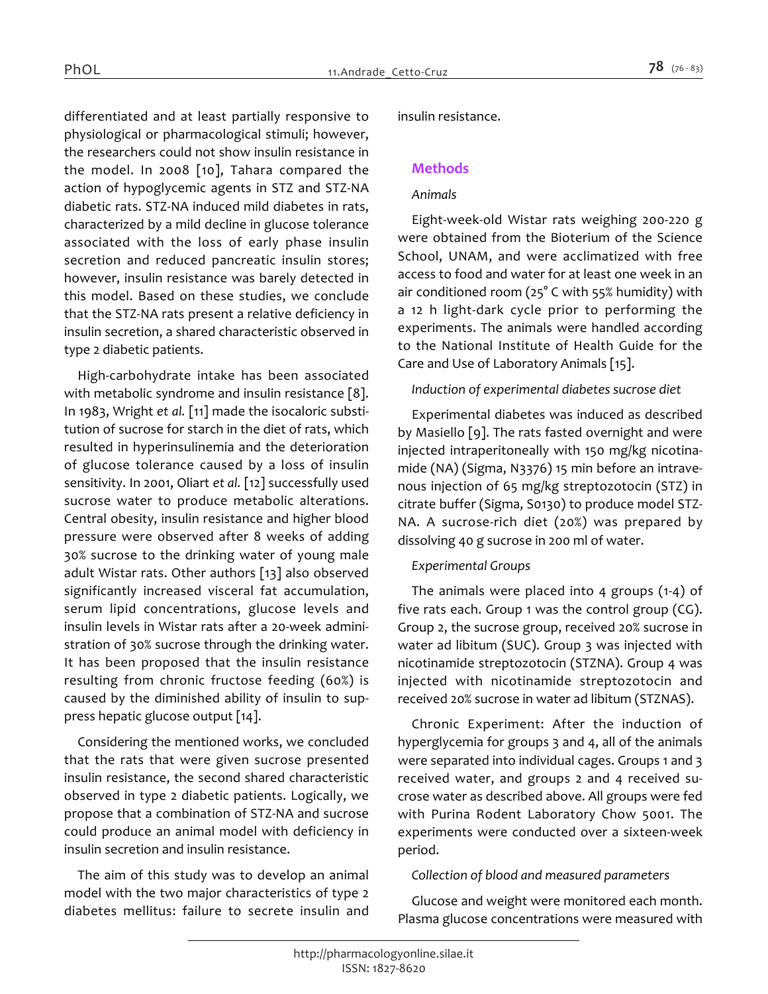*differentiated and at least partially responsive to physiological or pharmacological stimuli; however, the researchers could not show insulin resistance in the model. In 2008 [10], Tahara compared the action of hypoglycemic agents in STZ and STZ-NA diabetic rats. STZ-NA induced mild diabetes in rats, characterized by a mild decline in glucose tolerance associated with the loss of early phase insulin secretion and reduced pancreatic insulin stores; however, insulin resistance was barely detected in this model. Based on these studies, we conclude that the STZ-NA rats present a relative deficiency in insulin secretion, a shared characteristic observed in type 2 diabetic patients.*

*High-carbohydrate intake has been associated with metabolic syndrome and insulin resistance [8]. In 1983, Wright et al. [11] made the isocaloric substitution of sucrose for starch in the diet of rats, which resulted in hyperinsulinemia and the deterioration of glucose tolerance caused by a loss of insulin sensitivity. In 2001, Oliart et al. [12] successfully used sucrose water to produce metabolic alterations. Central obesity, insulin resistance and higher blood pressure were observed after 8 weeks of adding 30% sucrose to the drinking water of young male adult Wistar rats. Other authors [13] also observed significantly increased visceral fat accumulation, serum lipid concentrations, glucose levels and insulin levels in Wistar rats after a 20-week administration of 30% sucrose through the drinking water. It has been proposed that the insulin resistance resulting from chronic fructose feeding (60%) is caused by the diminished ability of insulin to suppress hepatic glucose output [14].*

*Considering the mentioned works, we concluded that the rats that were given sucrose presented insulin resistance, the second shared characteristic observed in type 2 diabetic patients. Logically, we propose that a combination of STZ-NA and sucrose could produce an animal model with deficiency in insulin secretion and insulin resistance.*

*The aim of this study was to develop an animal model with the two major characteristics of type 2 diabetes mellitus: failure to secrete insulin and*  *insulin resistance.*

# *Methods*

## *Animals*

*Eight-week-old Wistar rats weighing 200-220 g were obtained from the Bioterium of the Science School, UNAM, and were acclimatized with free access to food and water for at least one week in an air conditioned room (25° C with 55% humidity) with a 12 h light-dark cycle prior to performing the experiments. The animals were handled according to the National Institute of Health Guide for the Care and Use of Laboratory Animals [15].*

#### *Induction of experimental diabetes sucrose diet*

*Experimental diabetes was induced as described by Masiello [9]. The rats fasted overnight and were injected intraperitoneally with 150 mg/kg nicotinamide (NA) (Sigma, N3376) 15 min before an intravenous injection of 65 mg/kg streptozotocin (STZ) in citrate buffer (Sigma, S0130) to produce model STZ-NA. A sucrose-rich diet (20%) was prepared by dissolving 40 g sucrose in 200 ml of water.*

# *Experimental Groups*

*The animals were placed into 4 groups (1-4) of five rats each. Group 1 was the control group (CG). Group 2, the sucrose group, received 20% sucrose in water ad libitum (SUC). Group 3 was injected with nicotinamide streptozotocin (STZNA). Group 4 was injected with nicotinamide streptozotocin and received 20% sucrose in water ad libitum (STZNAS).*

*Chronic Experiment: After the induction of hyperglycemia for groups 3 and 4, all of the animals were separated into individual cages. Groups 1 and 3 received water, and groups 2 and 4 received sucrose water as described above. All groups were fed with Purina Rodent Laboratory Chow 5001. The experiments were conducted over a sixteen-week period.*

#### *Collection of blood and measured parameters*

*Glucose and weight were monitored each month. Plasma glucose concentrations were measured with*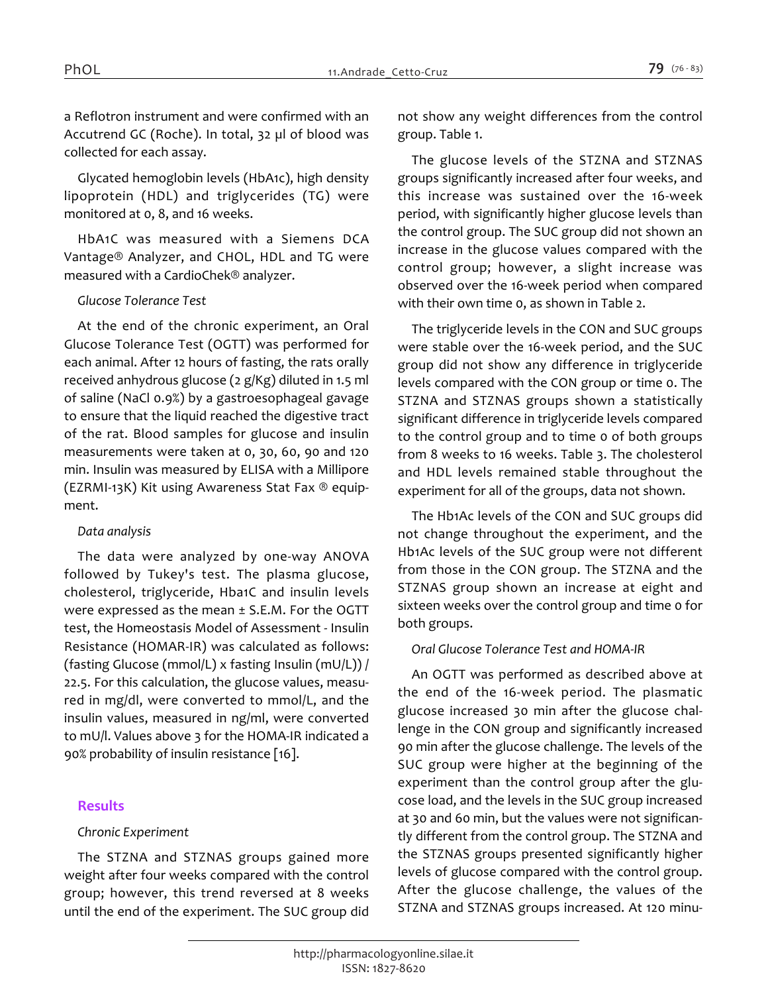*a Reflotron instrument and were confirmed with an Accutrend GC (Roche). In total, 32 µl of blood was collected for each assay.*

*Glycated hemoglobin levels (HbA1c), high density lipoprotein (HDL) and triglycerides (TG) were monitored at 0, 8, and 16 weeks.*

*HbA1C was measured with a Siemens DCA Vantage® Analyzer, and CHOL, HDL and TG were measured with a CardioChek® analyzer.*

#### *Glucose Tolerance Test*

*At the end of the chronic experiment, an Oral Glucose Tolerance Test (OGTT) was performed for each animal. After 12 hours of fasting, the rats orally received anhydrous glucose (2 g/Kg) diluted in 1.5 ml of saline (NaCl 0.9%) by a gastroesophageal gavage to ensure that the liquid reached the digestive tract of the rat. Blood samples for glucose and insulin measurements were taken at 0, 30, 60, 90 and 120 min. Insulin was measured by ELISA with a Millipore (EZRMI-13K) Kit using Awareness Stat Fax ® equipment.*

#### *Data analysis*

*The data were analyzed by one-way ANOVA followed by Tukey's test. The plasma glucose, cholesterol, triglyceride, Hba1C and insulin levels were expressed as the mean ± S.E.M. For the OGTT test, the Homeostasis Model of Assessment - Insulin Resistance (HOMAR-IR) was calculated as follows: (fasting Glucose (mmol/L) x fasting Insulin (mU/L)) / 22.5. For this calculation, the glucose values, measured in mg/dl, were converted to mmol/L, and the insulin values, measured in ng/ml, were converted to mU/l. Values above 3 for the HOMA-IR indicated a 90% probability of insulin resistance [16].*

# *Results*

# *Chronic Experiment*

*The STZNA and STZNAS groups gained more weight after four weeks compared with the control group; however, this trend reversed at 8 weeks until the end of the experiment. The SUC group did*  *not show any weight differences from the control group. Table 1.*

*The glucose levels of the STZNA and STZNAS groups significantly increased after four weeks, and this increase was sustained over the 16-week period, with significantly higher glucose levels than the control group. The SUC group did not shown an increase in the glucose values compared with the control group; however, a slight increase was observed over the 16-week period when compared with their own time 0, as shown in Table 2.*

*The triglyceride levels in the CON and SUC groups were stable over the 16-week period, and the SUC group did not show any difference in triglyceride levels compared with the CON group or time 0. The STZNA and STZNAS groups shown a statistically significant difference in triglyceride levels compared to the control group and to time 0 of both groups from 8 weeks to 16 weeks. Table 3. The cholesterol and HDL levels remained stable throughout the experiment for all of the groups, data not shown.*

*The Hb1Ac levels of the CON and SUC groups did not change throughout the experiment, and the Hb1Ac levels of the SUC group were not different from those in the CON group. The STZNA and the STZNAS group shown an increase at eight and sixteen weeks over the control group and time 0 for both groups.*

# *Oral Glucose Tolerance Test and HOMA-IR*

*An OGTT was performed as described above at the end of the 16-week period. The plasmatic glucose increased 30 min after the glucose challenge in the CON group and significantly increased 90 min after the glucose challenge. The levels of the SUC group were higher at the beginning of the experiment than the control group after the glucose load, and the levels in the SUC group increased at 30 and 60 min, but the values were not significantly different from the control group. The STZNA and the STZNAS groups presented significantly higher levels of glucose compared with the control group. After the glucose challenge, the values of the STZNA and STZNAS groups increased. At 120 minu-*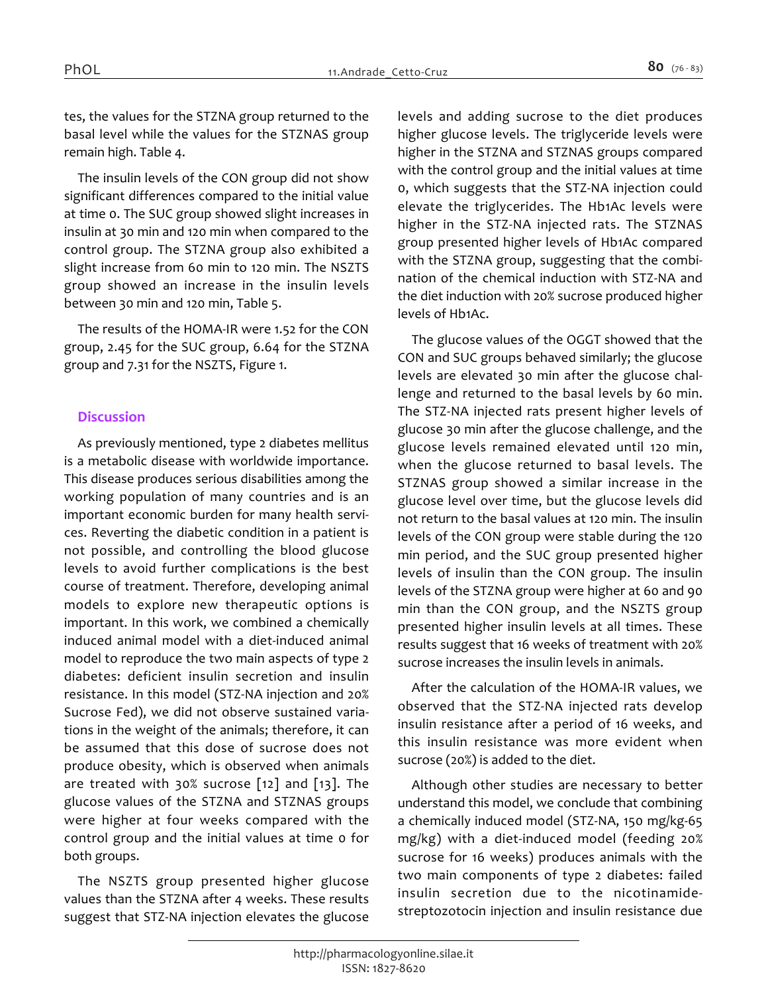*tes, the values for the STZNA group returned to the basal level while the values for the STZNAS group remain high. Table 4.*

*The insulin levels of the CON group did not show significant differences compared to the initial value at time 0. The SUC group showed slight increases in insulin at 30 min and 120 min when compared to the control group. The STZNA group also exhibited a slight increase from 60 min to 120 min. The NSZTS group showed an increase in the insulin levels between 30 min and 120 min, Table 5.*

*The results of the HOMA-IR were 1.52 for the CON group, 2.45 for the SUC group, 6.64 for the STZNA group and 7.31 for the NSZTS, Figure 1.*

#### *Discussion*

*As previously mentioned, type 2 diabetes mellitus is a metabolic disease with worldwide importance. This disease produces serious disabilities among the working population of many countries and is an important economic burden for many health services. Reverting the diabetic condition in a patient is not possible, and controlling the blood glucose levels to avoid further complications is the best course of treatment. Therefore, developing animal models to explore new therapeutic options is important. In this work, we combined a chemically induced animal model with a diet-induced animal model to reproduce the two main aspects of type 2 diabetes: deficient insulin secretion and insulin resistance. In this model (STZ-NA injection and 20% Sucrose Fed), we did not observe sustained variations in the weight of the animals; therefore, it can be assumed that this dose of sucrose does not produce obesity, which is observed when animals are treated with 30% sucrose [12] and [13]. The glucose values of the STZNA and STZNAS groups were higher at four weeks compared with the control group and the initial values at time 0 for both groups.*

*The NSZTS group presented higher glucose values than the STZNA after 4 weeks. These results suggest that STZ-NA injection elevates the glucose*  *levels and adding sucrose to the diet produces higher glucose levels. The triglyceride levels were higher in the STZNA and STZNAS groups compared with the control group and the initial values at time 0, which suggests that the STZ-NA injection could elevate the triglycerides. The Hb1Ac levels were higher in the STZ-NA injected rats. The STZNAS group presented higher levels of Hb1Ac compared with the STZNA group, suggesting that the combination of the chemical induction with STZ-NA and the diet induction with 20% sucrose produced higher levels of Hb1Ac.*

*The glucose values of the OGGT showed that the CON and SUC groups behaved similarly; the glucose levels are elevated 30 min after the glucose challenge and returned to the basal levels by 60 min. The STZ-NA injected rats present higher levels of glucose 30 min after the glucose challenge, and the glucose levels remained elevated until 120 min, when the glucose returned to basal levels. The STZNAS group showed a similar increase in the glucose level over time, but the glucose levels did not return to the basal values at 120 min. The insulin levels of the CON group were stable during the 120 min period, and the SUC group presented higher levels of insulin than the CON group. The insulin levels of the STZNA group were higher at 60 and 90 min than the CON group, and the NSZTS group presented higher insulin levels at all times. These results suggest that 16 weeks of treatment with 20% sucrose increases the insulin levels in animals.*

*After the calculation of the HOMA-IR values, we observed that the STZ-NA injected rats develop insulin resistance after a period of 16 weeks, and this insulin resistance was more evident when sucrose (20%) is added to the diet.*

*Although other studies are necessary to better understand this model, we conclude that combining a chemically induced model (STZ-NA, 150 mg/kg-65 mg/kg) with a diet-induced model (feeding 20% sucrose for 16 weeks) produces animals with the two main components of type 2 diabetes: failed insulin secretion due to the nicotinamidestreptozotocin injection and insulin resistance due*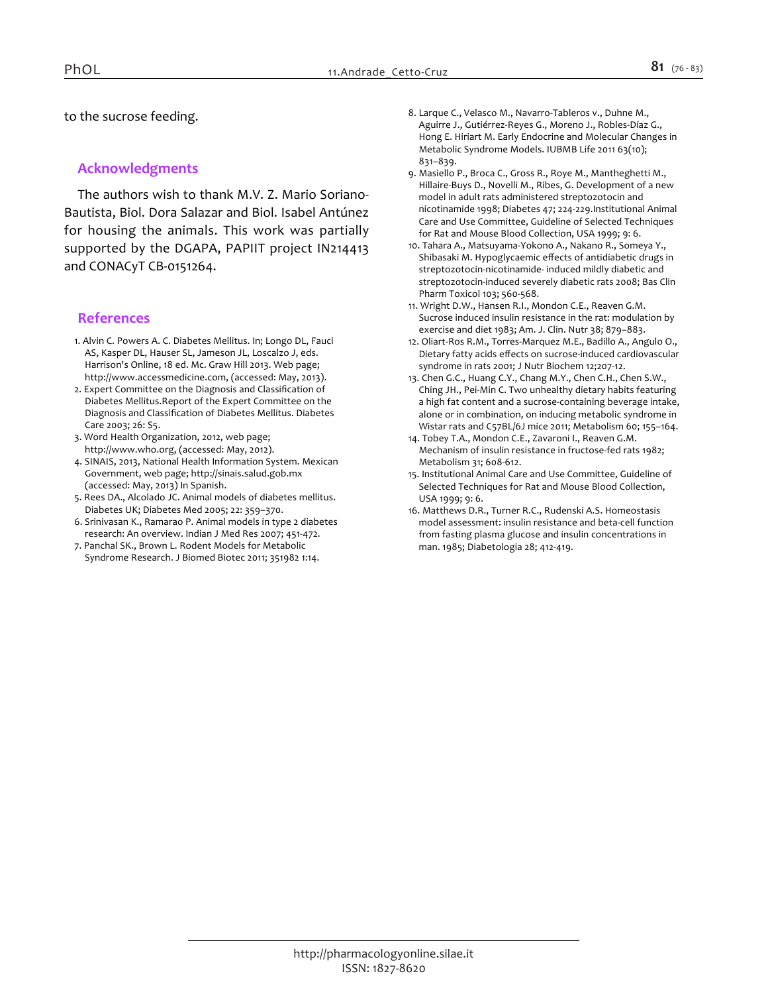*to the sucrose feeding.*

## *Acknowledgments*

*The authors wish to thank M.V. Z. Mario Soriano-Bautista, Biol. Dora Salazar and Biol. Isabel Antúnez for housing the animals. This work was partially supported by the DGAPA, PAPIIT project IN214413 and CONACyT CB-0151264.*

#### *References*

- *1. Alvin C. Powers A. C. Diabetes Mellitus. In; Longo DL, Fauci AS, Kasper DL, Hauser SL, Jameson JL, Loscalzo J, eds. Harrison's Online, 18 ed. Mc. Graw Hill 2013. Web page; http://www.accessmedicine.com, (accessed: May, 2013).*
- *2. Expert Committee on the Diagnosis and Classification of Diabetes Mellitus.Report of the Expert Committee on the Diagnosis and Classification of Diabetes Mellitus. Diabetes Care 2003; 26: S5.*
- *3. Word Health Organization, 2012, web page; http://www.who.org, (accessed: May, 2012).*
- *4. SINAIS, 2013, National Health Information System. Mexican Government, web page; http://sinais.salud.gob.mx (accessed: May, 2013) In Spanish.*
- *5. Rees DA., Alcolado JC. Animal models of diabetes mellitus. Diabetes UK; Diabetes Med 2005; 22: 359–370.*
- *6. Srinivasan K., Ramarao P. Animal models in type 2 diabetes research: An overview. Indian J Med Res 2007; 451-472.*
- *7. Panchal SK., Brown L. Rodent Models for Metabolic Syndrome Research. J Biomed Biotec 2011; 351982 1:14.*
- *8. Larque C., Velasco M., Navarro-Tableros v., Duhne M., Aguirre J., Gutiérrez-Reyes G., Moreno J., Robles-Díaz G., Hong E. Hiriart M. Early Endocrine and Molecular Changes in Metabolic Syndrome Models. IUBMB Life 2011 63(10); 831–839.*
- *9. Masiello P., Broca C., Gross R., Roye M., Mantheghetti M., Hillaire-Buys D., Novelli M., Ribes, G. Development of a new model in adult rats administered streptozotocin and nicotinamide 1998; Diabetes 47; 224-229.Institutional Animal Care and Use Committee, Guideline of Selected Techniques for Rat and Mouse Blood Collection, USA 1999; 9: 6.*
- *10. Tahara A., Matsuyama-Yokono A., Nakano R., Someya Y., Shibasaki M. Hypoglycaemic effects of antidiabetic drugs in streptozotocin-nicotinamide- induced mildly diabetic and streptozotocin-induced severely diabetic rats 2008; Bas Clin Pharm Toxicol 103; 560-568.*
- *11. Wright D.W., Hansen R.I., Mondon C.E., Reaven G.M. Sucrose induced insulin resistance in the rat: modulation by exercise and diet 1983; Am. J. Clin. Nutr 38; 879–883.*
- *12. Oliart-Ros R.M., Torres-Marquez M.E., Badillo A., Angulo O., Dietary fatty acids effects on sucrose-induced cardiovascular syndrome in rats 2001; J Nutr Biochem 12;207-12.*
- *13. Chen G.C., Huang C.Y., Chang M.Y., Chen C.H., Chen S.W., Ching JH., Pei-Min C. Two unhealthy dietary habits featuring a high fat content and a sucrose-containing beverage intake, alone or in combination, on inducing metabolic syndrome in Wistar rats and C57BL/6J mice 2011; Metabolism 60; 155–164.*
- *14. Tobey T.A., Mondon C.E., Zavaroni I., Reaven G.M. Mechanism of insulin resistance in fructose-fed rats 1982; Metabolism 31; 608-612.*
- *15. Institutional Animal Care and Use Committee, Guideline of Selected Techniques for Rat and Mouse Blood Collection, USA 1999; 9: 6.*
- *16. Matthews D.R., Turner R.C., Rudenski A.S. Homeostasis model assessment: insulin resistance and beta-cell function from fasting plasma glucose and insulin concentrations in man. 1985; Diabetologia 28; 412-419.*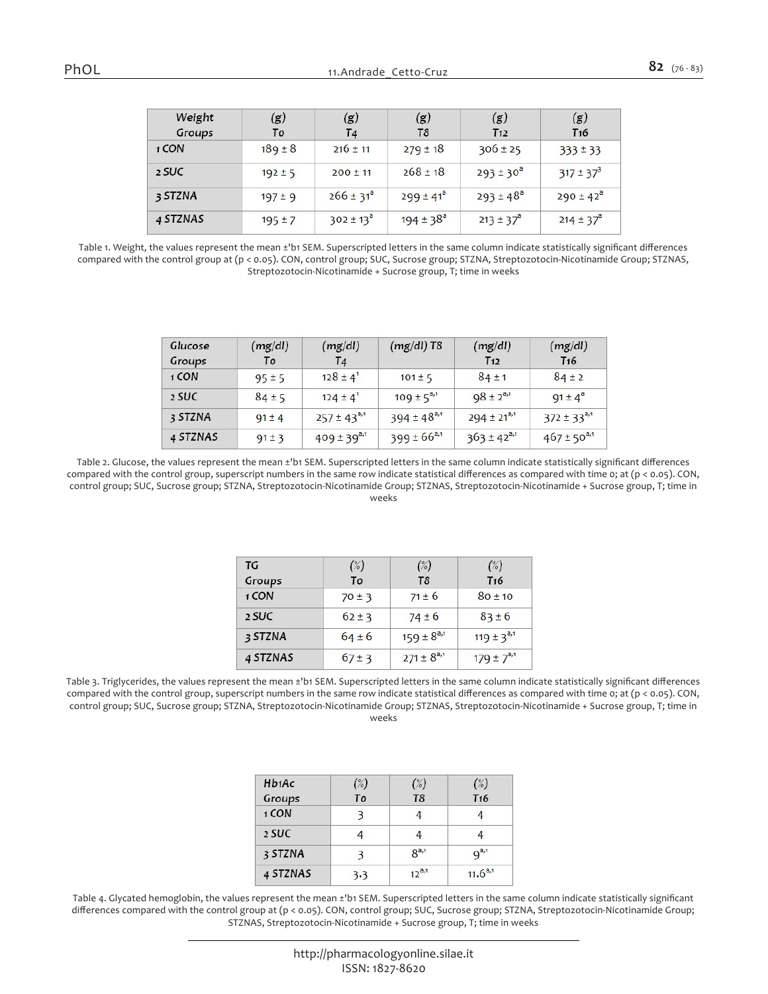|  |  | I<br>w<br>۰. |
|--|--|--------------|
|--|--|--------------|

| Weight<br>Groups | (g)<br>To   | (g)<br>T <sub>4</sub> | (g)<br>T8            | (g)<br>T <sub>12</sub> | (g)<br>T <sub>16</sub> |
|------------------|-------------|-----------------------|----------------------|------------------------|------------------------|
| 1 CON            | $189 \pm 8$ | $216 \pm 11$          | $279 \pm 18$         | $306 \pm 25$           | $333 \pm 33$           |
| 2 SUC            | $192 \pm 5$ | $200 \pm 11$          | $268 \pm 18$         | $293 \pm 30^{\circ}$   | $317 \pm 37^{3}$       |
| 3 STZNA          | $197 \pm 9$ | $266 \pm 31^{a}$      | $299 \pm 41^{\circ}$ | $293 \pm 48^{\circ}$   | $290 \pm 42^8$         |
| 4 STZNAS         | $195 \pm 7$ | $302 \pm 13^{\circ}$  | $194 \pm 38^{\circ}$ | $213 \pm 37^{\circ}$   | $214 \pm 37^{\circ}$   |

*Table 1. Weight, the values represent the mean ±'b1 SEM. Superscripted letters in the same column indicate statistically significant differences compared with the control group at (p < 0.05). CON, control group; SUC, Sucrose group; STZNA, Streptozotocin-Nicotinamide Group; STZNAS, Streptozotocin-Nicotinamide + Sucrose group, T; time in weeks*

| Glucose<br>Groups | (mg/dl)<br>To | (mg/dl)<br>T <sub>4</sub> | $(mg/dl)$ T8       | (mg/dl)<br>T <sub>12</sub> | (mg/dl)<br>T <sub>16</sub> |
|-------------------|---------------|---------------------------|--------------------|----------------------------|----------------------------|
| 1 CON             | $95 \pm 5$    | $128 \pm 4$ <sup>1</sup>  | $101 \pm 5$        | $84 \pm 1$                 | $84 \pm 2$                 |
| 2 SUC             | $84 \pm 5$    | $124 \pm 4$ <sup>1</sup>  | $109 \pm 5^{a,1}$  | $98 \pm 2^{a,1}$           | $91 \pm 4^a$               |
| 3 STZNA           | $91 \pm 4$    | $257 \pm 43^{a,1}$        | $394 \pm 48^{a,1}$ | $294 \pm 21^{a,1}$         | $372 \pm 33^{a,1}$         |
| 4 STZNAS          | $91 \pm 3$    | $409 \pm 39^{a,1}$        | $399 \pm 66^{a,1}$ | $363 \pm 42^{a,1}$         | $467 \pm 50^{a,1}$         |

*Table 2. Glucose, the values represent the mean ±'b1 SEM. Superscripted letters in the same column indicate statistically significant differences compared with the control group, superscript numbers in the same row indicate statistical differences as compared with time 0; at (p < 0.05). CON, control group; SUC, Sucrose group; STZNA, Streptozotocin-Nicotinamide Group; STZNAS, Streptozotocin-Nicotinamide + Sucrose group, T; time in weeks*

| TG       | $(\%)$     | $(\%)$            | (%)               |
|----------|------------|-------------------|-------------------|
| Groups   | To         | T <sub>8</sub>    | T <sub>16</sub>   |
| 1 CON    | $70 \pm 3$ | $71 \pm 6$        | $80 + 10$         |
| 2 SUC    | $62 \pm 3$ | $74 \pm 6$        | $83 \pm 6$        |
| 3 STZNA  | $64 \pm 6$ | $159 \pm 8^{a,1}$ | $119 \pm 3^{a,1}$ |
| 4 STZNAS | $67 \pm 3$ | $271 \pm 8^{a,1}$ | $179 \pm 7^{a,1}$ |

*Table 3. Triglycerides, the values represent the mean ±'b1 SEM. Superscripted letters in the same column indicate statistically significant differences compared with the control group, superscript numbers in the same row indicate statistical differences as compared with time 0; at (p < 0.05). CON, control group; SUC, Sucrose group; STZNA, Streptozotocin-Nicotinamide Group; STZNAS, Streptozotocin-Nicotinamide + Sucrose group, T; time in weeks*

| H <sub>b1</sub> Ac | (%) | (%)            | $(\%)$          |
|--------------------|-----|----------------|-----------------|
| Groups             | To  | T <sub>8</sub> | T <sub>16</sub> |
| 1 CON              |     |                |                 |
| 2 SUC              |     |                |                 |
| 3 STZNA            |     | $R^{a,1}$      | $q^{a,1}$       |
| 4 STZNAS           | 3.3 | $12^{a,1}$     | $11.6^{a,1}$    |

*Table 4. Glycated hemoglobin, the values represent the mean ±'b1 SEM. Superscripted letters in the same column indicate statistically significant differences compared with the control group at (p < 0.05). CON, control group; SUC, Sucrose group; STZNA, Streptozotocin-Nicotinamide Group; STZNAS, Streptozotocin-Nicotinamide + Sucrose group, T; time in weeks*